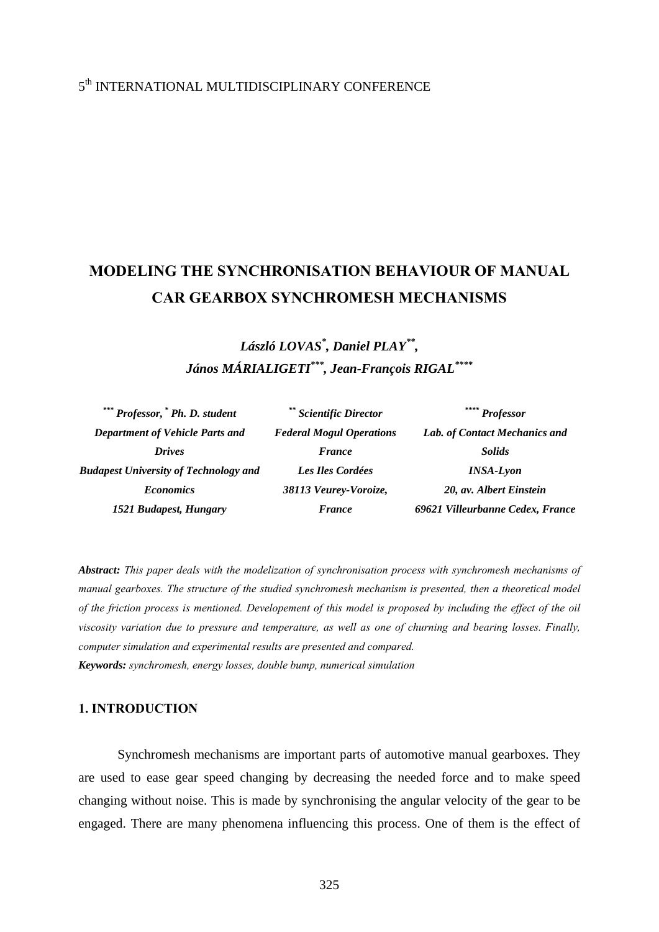# 5th INTERNATIONAL MULTIDISCIPLINARY CONFERENCE

# **MODELING THE SYNCHRONISATION BEHAVIOUR OF MANUAL CAR GEARBOX SYNCHROMESH MECHANISMS**

*László LOVAS\* , Daniel PLAY\*\*, János MÁRIALIGETI\*\*\*, Jean-François RIGAL\*\*\*\** 

| *** Professor, * Ph. D. student              | ** Scientific Director          | $\stackrel{***}{\sim}$ Professor |
|----------------------------------------------|---------------------------------|----------------------------------|
| <b>Department of Vehicle Parts and</b>       | <b>Federal Mogul Operations</b> | Lab. of Contact Mechanics and    |
| <b>Drives</b>                                | France                          | <b>Solids</b>                    |
| <b>Budapest University of Technology and</b> | Les Iles Cordées                | <b>INSA-Lyon</b>                 |
| <b>Economics</b>                             | 38113 Veurey-Voroize,           | 20, av. Albert Einstein          |
| 1521 Budapest, Hungary                       | <b>France</b>                   | 69621 Villeurbanne Cedex, France |

*Abstract: This paper deals with the modelization of synchronisation process with synchromesh mechanisms of manual gearboxes. The structure of the studied synchromesh mechanism is presented, then a theoretical model of the friction process is mentioned. Developement of this model is proposed by including the effect of the oil viscosity variation due to pressure and temperature, as well as one of churning and bearing losses. Finally, computer simulation and experimental results are presented and compared. Keywords: synchromesh, energy losses, double bump, numerical simulation* 

### **1. INTRODUCTION**

Synchromesh mechanisms are important parts of automotive manual gearboxes. They are used to ease gear speed changing by decreasing the needed force and to make speed changing without noise. This is made by synchronising the angular velocity of the gear to be engaged. There are many phenomena influencing this process. One of them is the effect of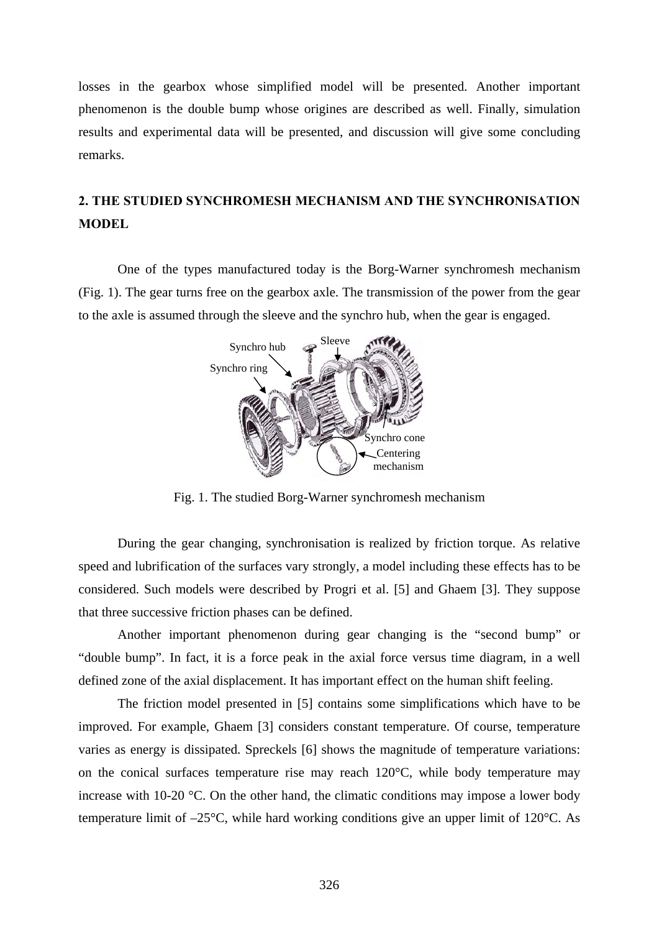losses in the gearbox whose simplified model will be presented. Another important phenomenon is the double bump whose origines are described as well. Finally, simulation results and experimental data will be presented, and discussion will give some concluding remarks.

# **2. THE STUDIED SYNCHROMESH MECHANISM AND THE SYNCHRONISATION MODEL**

One of the types manufactured today is the Borg-Warner synchromesh mechanism (Fig. 1). The gear turns free on the gearbox axle. The transmission of the power from the gear to the axle is assumed through the sleeve and the synchro hub, when the gear is engaged.



Fig. 1. The studied Borg-Warner synchromesh mechanism

 During the gear changing, synchronisation is realized by friction torque. As relative speed and lubrification of the surfaces vary strongly, a model including these effects has to be considered. Such models were described by Progri et al. [5] and Ghaem [3]. They suppose that three successive friction phases can be defined.

 Another important phenomenon during gear changing is the "second bump" or "double bump". In fact, it is a force peak in the axial force versus time diagram, in a well defined zone of the axial displacement. It has important effect on the human shift feeling.

 The friction model presented in [5] contains some simplifications which have to be improved. For example, Ghaem [3] considers constant temperature. Of course, temperature varies as energy is dissipated. Spreckels [6] shows the magnitude of temperature variations: on the conical surfaces temperature rise may reach 120°C, while body temperature may increase with 10-20 °C. On the other hand, the climatic conditions may impose a lower body temperature limit of –25°C, while hard working conditions give an upper limit of 120°C. As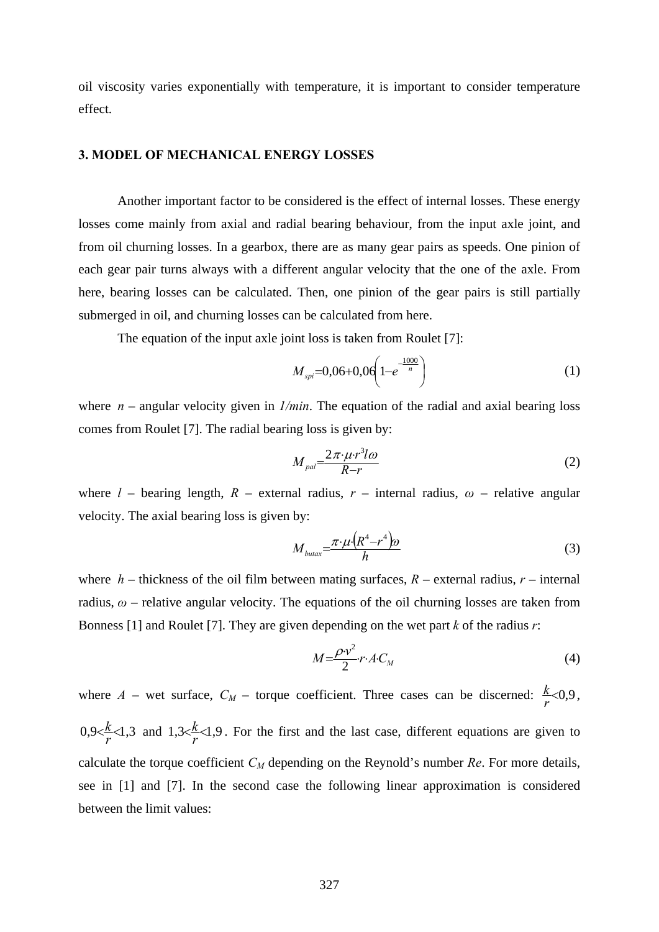oil viscosity varies exponentially with temperature, it is important to consider temperature effect.

## **3. MODEL OF MECHANICAL ENERGY LOSSES**

 Another important factor to be considered is the effect of internal losses. These energy losses come mainly from axial and radial bearing behaviour, from the input axle joint, and from oil churning losses. In a gearbox, there are as many gear pairs as speeds. One pinion of each gear pair turns always with a different angular velocity that the one of the axle. From here, bearing losses can be calculated. Then, one pinion of the gear pairs is still partially submerged in oil, and churning losses can be calculated from here.

The equation of the input axle joint loss is taken from Roulet [7]:

$$
M_{\rm spi} = 0.06 + 0.06 \left( 1 - e^{-\frac{1000}{n}} \right) \tag{1}
$$

where *n* – angular velocity given in *1/min*. The equation of the radial and axial bearing loss comes from Roulet [7]. The radial bearing loss is given by:

$$
M_{pal} = \frac{2\pi \cdot \mu \cdot r^3 l \omega}{R - r} \tag{2}
$$

where  $l$  – bearing length,  $R$  – external radius,  $r$  – internal radius,  $\omega$  – relative angular velocity. The axial bearing loss is given by:

$$
M_{\text{butax}} = \frac{\pi \cdot \mu \cdot (R^4 - r^4)\omega}{h} \tag{3}
$$

where  $h$  – thickness of the oil film between mating surfaces,  $R$  – external radius,  $r$  – internal radius, *ω* – relative angular velocity. The equations of the oil churning losses are taken from Bonness [1] and Roulet [7]. They are given depending on the wet part *k* of the radius *r*:

$$
M = \frac{\rho \cdot v^2}{2} r \cdot A \cdot C_M \tag{4}
$$

where  $A$  – wet surface,  $C_M$  – torque coefficient. Three cases can be discerned:  $\frac{k}{r} < 0.9$ ,  $0,9<\frac{k}{r}<1,3$  and  $1,3<\frac{k}{r}<1,9$ . For the first and the last case, different equations are given to calculate the torque coefficient *CM* depending on the Reynold's number *Re*. For more details, see in [1] and [7]. In the second case the following linear approximation is considered between the limit values: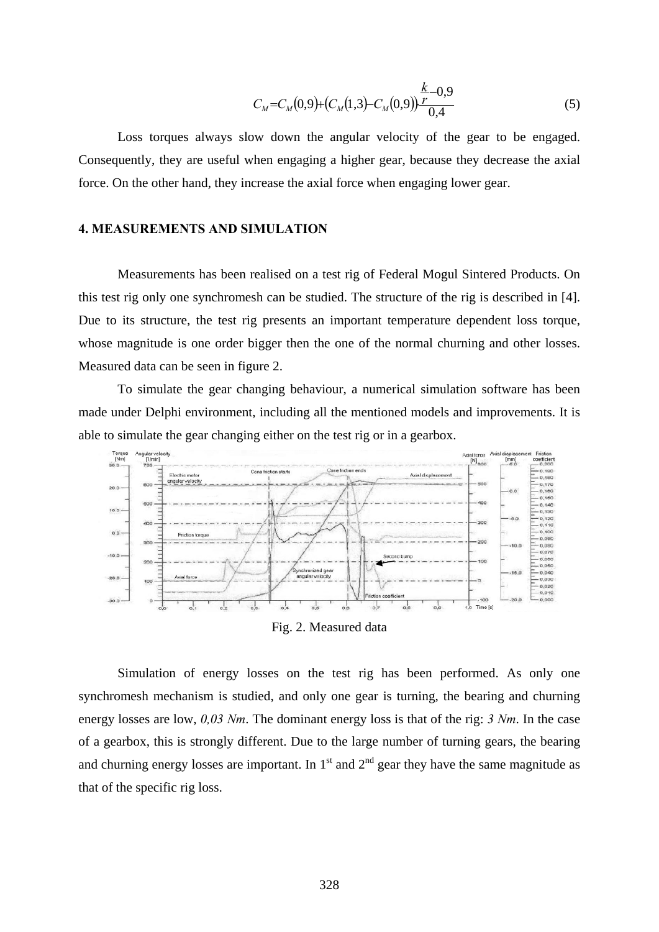$$
C_M = C_M(0,9) + (C_M(1,3) - C_M(0,9))\frac{k-0.9}{0.4}
$$
\n
$$
(5)
$$

 Loss torques always slow down the angular velocity of the gear to be engaged. Consequently, they are useful when engaging a higher gear, because they decrease the axial force. On the other hand, they increase the axial force when engaging lower gear.

#### **4. MEASUREMENTS AND SIMULATION**

 Measurements has been realised on a test rig of Federal Mogul Sintered Products. On this test rig only one synchromesh can be studied. The structure of the rig is described in [4]. Due to its structure, the test rig presents an important temperature dependent loss torque, whose magnitude is one order bigger then the one of the normal churning and other losses. Measured data can be seen in figure 2.

 To simulate the gear changing behaviour, a numerical simulation software has been made under Delphi environment, including all the mentioned models and improvements. It is able to simulate the gear changing either on the test rig or in a gearbox.



Fig. 2. Measured data

 Simulation of energy losses on the test rig has been performed. As only one synchromesh mechanism is studied, and only one gear is turning, the bearing and churning energy losses are low, *0,03 Nm*. The dominant energy loss is that of the rig: *3 Nm*. In the case of a gearbox, this is strongly different. Due to the large number of turning gears, the bearing and churning energy losses are important. In  $1<sup>st</sup>$  and  $2<sup>nd</sup>$  gear they have the same magnitude as that of the specific rig loss.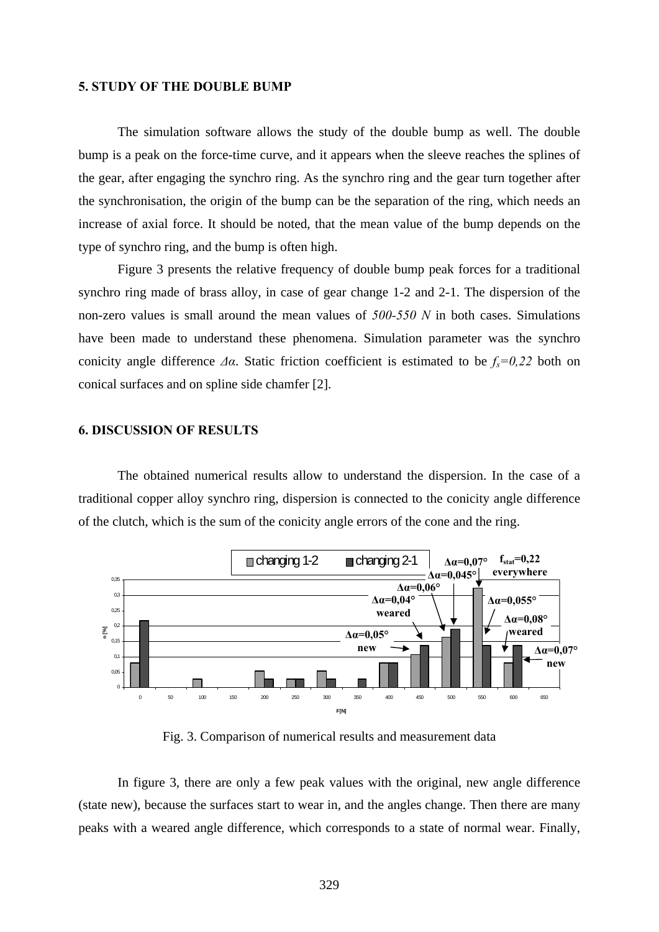#### **5. STUDY OF THE DOUBLE BUMP**

 The simulation software allows the study of the double bump as well. The double bump is a peak on the force-time curve, and it appears when the sleeve reaches the splines of the gear, after engaging the synchro ring. As the synchro ring and the gear turn together after the synchronisation, the origin of the bump can be the separation of the ring, which needs an increase of axial force. It should be noted, that the mean value of the bump depends on the type of synchro ring, and the bump is often high.

Figure 3 presents the relative frequency of double bump peak forces for a traditional synchro ring made of brass alloy, in case of gear change 1-2 and 2-1. The dispersion of the non-zero values is small around the mean values of *500-550 N* in both cases. Simulations have been made to understand these phenomena. Simulation parameter was the synchro conicity angle difference  $\Delta \alpha$ . Static friction coefficient is estimated to be  $f_s = 0.22$  both on conical surfaces and on spline side chamfer [2].

### **6. DISCUSSION OF RESULTS**

The obtained numerical results allow to understand the dispersion. In the case of a traditional copper alloy synchro ring, dispersion is connected to the conicity angle difference of the clutch, which is the sum of the conicity angle errors of the cone and the ring.



Fig. 3. Comparison of numerical results and measurement data

In figure 3, there are only a few peak values with the original, new angle difference (state new), because the surfaces start to wear in, and the angles change. Then there are many peaks with a weared angle difference, which corresponds to a state of normal wear. Finally,